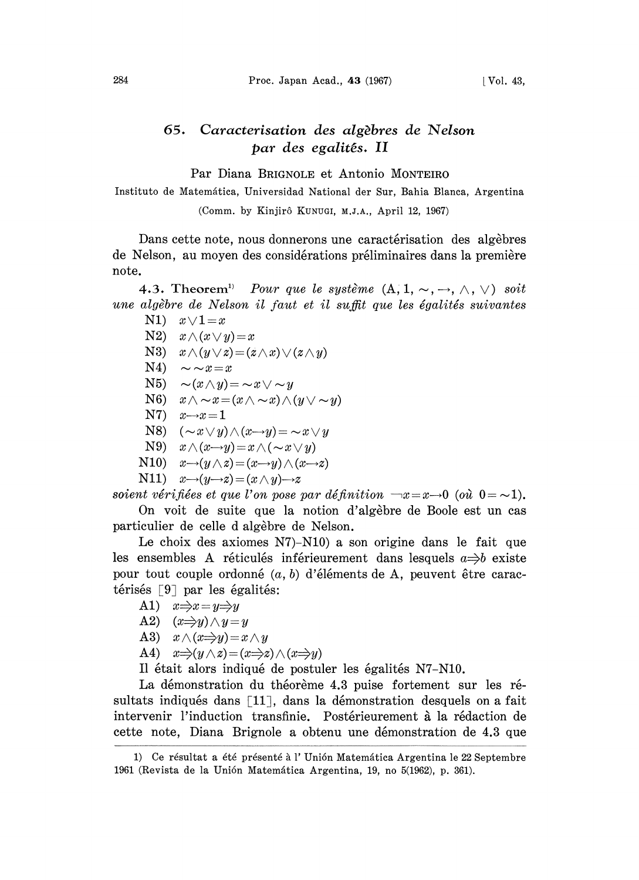## 65. Caracterisation des algbres de Nelson par des egalits. II

Par Diana BRIGNOLE et Antonio MONTEIRO

Instituto de Matemática, Universidad National der Sur, Bahia Blanca, Argentina

(Comm. by Kinjirô KUNUGI, M.J.A., April 12, 1967)

Dans cette note, nous donnerons une caractérisation des algèbres de Nelson, au moyen des considérations préliminaires dans la première note.

4.3. Theorem<sup>1)</sup> Pour que le système  $(A, 1, \sim, \rightarrow, \wedge, \vee)$  soit une algèbre de Nelson il faut et il suffit que les égalités suivantes

- N1)  $x \vee 1 = x$
- N2)  $x \wedge (x \vee y) = x$
- N3)  $x \wedge (y \vee z) = (z \wedge x) \vee (z \wedge y)$
- $N4$ )  $\sim \sim x=x$
- N5)  $\sim(x \wedge y) = \sim x \vee \sim y$
- N6)  $x \wedge \neg x = (x \wedge \neg x) \wedge (y \vee \neg y)$
- $N7$ )  $x \rightarrow x = 1$
- N8)  $(\sim x \vee y) \wedge (x \rightarrow y) = \sim x \vee y$
- N9)  $x \wedge (x \rightarrow y) = x \wedge (\sim x \vee y)$
- N10)  $x \rightarrow (y \land z) = (x \rightarrow y) \land (x \rightarrow z)$
- N11)  $x \rightarrow (y \rightarrow z) = (x \land y) \rightarrow z$

soient vérifiées et que l'on pose par définition  $\neg x=x\rightarrow 0$  (où  $0=\sim 1$ ).

On voit de suite que la notion d'algèbre de Boole est un cas particulier de celle d algèbre de Nelson.

Le choix des axiomes N7)-N10) a son origine dans le fait que les ensembles A réticulés inférieurement dans lesquels  $a \Rightarrow b$  existe pour tout couple ordonné  $(a, b)$  d'éléments de A, peuvent être caractérisés  $\lceil 9 \rceil$  par les égalités:

- A1)  $x \Rightarrow x = y \Rightarrow y$
- A2)  $(x \Rightarrow y) \land y = y$
- A3)  $x \wedge (x \Rightarrow y) = x \wedge y$
- A4)  $x \Rightarrow (y \land z) = (x \Rightarrow z) \land (x \Rightarrow y)$

Il était alors indiqué de postuler les égalités N7-N10.

La démonstration du théorème 4.3 puise fortement sur les résultats indiqués dans  $\lceil 11 \rceil$ , dans la démonstration desquels on a fait intervenir l'induction transfinie. Postérieurement à la rédaction de cette note, Diana Brignole a obtenu une démonstration de 4.3 que

<sup>1)</sup> Ce résultat a été présenté à l'Unión Matemática Argentina le 22 Septembre 1961 (Revista de la Unión Matemática Argentina, 19, no 5(1962), p. 361).